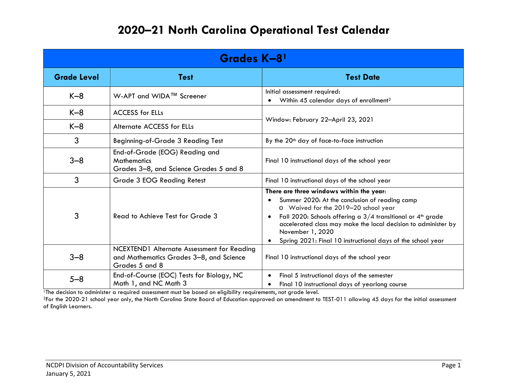| Grades K-81        |                                                                                                         |                                                                                                                                                                                                                                                                                                                                                                                                   |  |  |
|--------------------|---------------------------------------------------------------------------------------------------------|---------------------------------------------------------------------------------------------------------------------------------------------------------------------------------------------------------------------------------------------------------------------------------------------------------------------------------------------------------------------------------------------------|--|--|
| <b>Grade Level</b> | <b>Test</b>                                                                                             | <b>Test Date</b>                                                                                                                                                                                                                                                                                                                                                                                  |  |  |
| $K-8$              | W-APT and WIDA™ Screener                                                                                | Initial assessment required:<br>Within 45 calendar days of enrollment <sup>2</sup><br>$\bullet$                                                                                                                                                                                                                                                                                                   |  |  |
| $K-8$              | <b>ACCESS for ELLs</b>                                                                                  | Window: February 22-April 23, 2021                                                                                                                                                                                                                                                                                                                                                                |  |  |
| $K-8$              | <b>Alternate ACCESS for ELLs</b>                                                                        |                                                                                                                                                                                                                                                                                                                                                                                                   |  |  |
| 3                  | <b>Beginning-of-Grade 3 Reading Test</b>                                                                | By the 20 <sup>th</sup> day of face-to-face instruction                                                                                                                                                                                                                                                                                                                                           |  |  |
| $3 - 8$            | End-of-Grade (EOG) Reading and<br><b>Mathematics</b><br>Grades 3-8, and Science Grades 5 and 8          | Final 10 instructional days of the school year                                                                                                                                                                                                                                                                                                                                                    |  |  |
| 3                  | <b>Grade 3 EOG Reading Retest</b>                                                                       | Final 10 instructional days of the school year                                                                                                                                                                                                                                                                                                                                                    |  |  |
| 3                  | Read to Achieve Test for Grade 3                                                                        | There are three windows within the year:<br>Summer 2020: At the conclusion of reading camp<br>$\bullet$<br>o Waived for the 2019-20 school year<br>Fall 2020: Schools offering a $3/4$ transitional or $4th$ grade<br>$\bullet$<br>accelerated class may make the local decision to administer by<br>November 1, 2020<br>Spring 2021: Final 10 instructional days of the school year<br>$\bullet$ |  |  |
| $3 - 8$            | NCEXTEND1 Alternate Assessment for Reading<br>and Mathematics Grades 3-8, and Science<br>Grades 5 and 8 | Final 10 instructional days of the school year                                                                                                                                                                                                                                                                                                                                                    |  |  |
| $5 - 8$            | End-of-Course (EOC) Tests for Biology, NC<br>Math 1, and NC Math 3                                      | Final 5 instructional days of the semester<br>$\bullet$<br>Final 10 instructional days of yearlong course<br>٠                                                                                                                                                                                                                                                                                    |  |  |

<sup>1</sup>The decision to administer a required assessment must be based on eligibility requirements, not grade level.

<sup>2</sup>For the 2020-21 school year only, the North Carolina State Board of Education approved an amendment to TEST-011 allowing 45 days for the initial assessment of English Learners.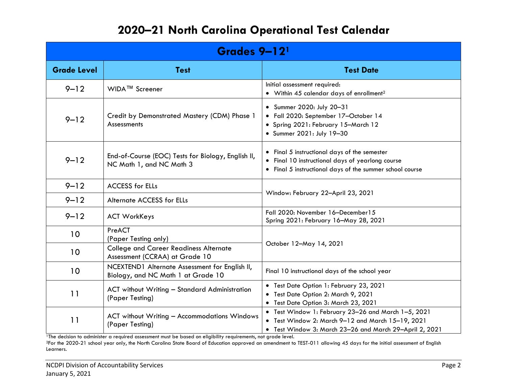| Grades 9-12 <sup>1</sup> |                                                                                      |                                                                                                                                                                     |  |  |
|--------------------------|--------------------------------------------------------------------------------------|---------------------------------------------------------------------------------------------------------------------------------------------------------------------|--|--|
| <b>Grade Level</b>       | <b>Test</b>                                                                          | <b>Test Date</b>                                                                                                                                                    |  |  |
| $9 - 12$                 | WIDA™ Screener                                                                       | Initial assessment required:<br>• Within 45 calendar days of enrollment <sup>2</sup>                                                                                |  |  |
| $9 - 12$                 | Credit by Demonstrated Mastery (CDM) Phase 1<br>Assessments                          | • Summer 2020: July 20-31<br>· Fall 2020: September 17-October 14<br>• Spring 2021: February 15-March 12<br>• Summer 2021: July 19-30                               |  |  |
| $9 - 12$                 | End-of-Course (EOC) Tests for Biology, English II,<br>NC Math 1, and NC Math 3       | • Final 5 instructional days of the semester<br>• Final 10 instructional days of yearlong course<br>• Final 5 instructional days of the summer school course        |  |  |
| $9 - 12$                 | <b>ACCESS for ELLs</b>                                                               | Window: February 22-April 23, 2021                                                                                                                                  |  |  |
| $9 - 12$                 | Alternate ACCESS for ELLs                                                            |                                                                                                                                                                     |  |  |
| $9 - 12$                 | <b>ACT WorkKeys</b>                                                                  | Fall 2020: November 16-December15<br>Spring 2021: February 16-May 28, 2021                                                                                          |  |  |
| 10                       | PreACT<br>(Paper Testing only)                                                       | October 12-May 14, 2021                                                                                                                                             |  |  |
| 10                       | <b>College and Career Readiness Alternate</b><br>Assessment (CCRAA) at Grade 10      |                                                                                                                                                                     |  |  |
| 10                       | NCEXTEND1 Alternate Assessment for English II,<br>Biology, and NC Math 1 at Grade 10 | Final 10 instructional days of the school year                                                                                                                      |  |  |
| 11                       | <b>ACT without Writing - Standard Administration</b><br>(Paper Testing)              | • Test Date Option 1: February 23, 2021<br>• Test Date Option 2: March 9, 2021<br>• Test Date Option 3: March 23, 2021                                              |  |  |
| 11                       | ACT without Writing - Accommodations Windows<br>(Paper Testing)                      | • Test Window 1: February 23-26 and March 1-5, 2021<br>• Test Window 2: March 9-12 and March 15-19, 2021<br>· Test Window 3: March 23-26 and March 29-April 2, 2021 |  |  |

<sup>1</sup>The decision to administer a required assessment must be based on eligibility requirements, not grade level.

2For the 2020-21 school year only, the North Carolina State Board of Education approved an amendment to TEST-011 allowing 45 days for the initial assessment of English Learners.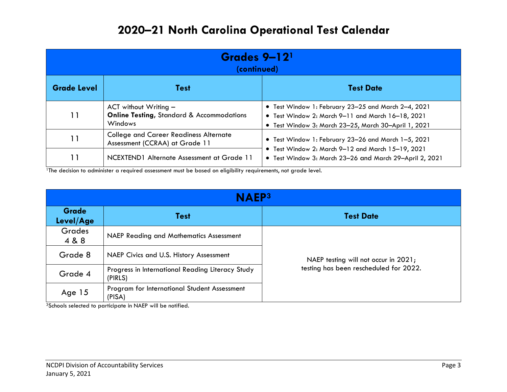| Grades 9-12 <sup>1</sup><br>(continued) |                                                                                            |                                                                                                                                                                     |  |  |
|-----------------------------------------|--------------------------------------------------------------------------------------------|---------------------------------------------------------------------------------------------------------------------------------------------------------------------|--|--|
| <b>Grade Level</b>                      | <b>Test</b>                                                                                | <b>Test Date</b>                                                                                                                                                    |  |  |
| 11                                      | ACT without Writing $-$<br><b>Online Testing, Standard &amp; Accommodations</b><br>Windows | • Test Window 1: February 23-25 and March 2-4, 2021<br>• Test Window 2: March 9-11 and March 16-18, 2021<br>• Test Window 3: March 23–25, March 30–April 1, 2021    |  |  |
| 11                                      | <b>College and Career Readiness Alternate</b><br>Assessment (CCRAA) at Grade 11            | • Test Window 1: February 23-26 and March 1-5, 2021<br>• Test Window 2: March 9-12 and March 15-19, 2021<br>• Test Window 3: March 23-26 and March 29-April 2, 2021 |  |  |
|                                         | NCEXTEND1 Alternate Assessment at Grade 11                                                 |                                                                                                                                                                     |  |  |

<sup>1</sup>The decision to administer a required assessment must be based on eligibility requirements, not grade level.

| <b>NAEP3</b>              |                                                             |                                        |  |  |
|---------------------------|-------------------------------------------------------------|----------------------------------------|--|--|
| <b>Grade</b><br>Level/Age | <b>Test</b>                                                 | <b>Test Date</b>                       |  |  |
| <b>Grades</b><br>4 & 8    | <b>NAEP Reading and Mathematics Assessment</b>              |                                        |  |  |
| Grade 8                   | NAEP Civics and U.S. History Assessment                     | NAEP testing will not occur in 2021;   |  |  |
| Grade 4                   | Progress in International Reading Literacy Study<br>(PIRLS) | testing has been rescheduled for 2022. |  |  |
| Age 15                    | Program for International Student Assessment<br>(PISA)      |                                        |  |  |

3Schools selected to participate in NAEP will be notified.